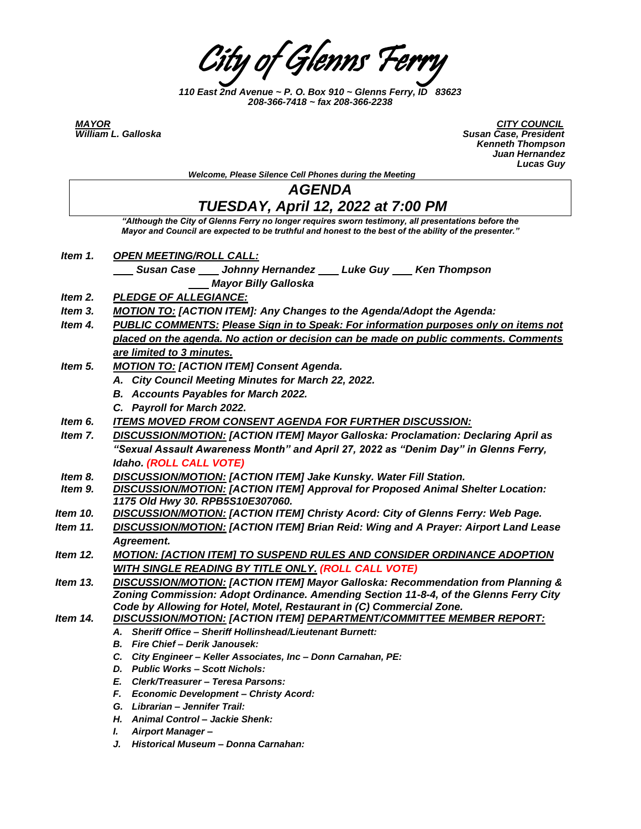City of Glenns Ferry

*110 East 2nd Avenue ~ P. O. Box 910 ~ Glenns Ferry, ID 83623 208-366-7418 ~ fax 208-366-2238*

*MAYOR CITY COUNCIL*  **Susan Case, President**  *Kenneth Thompson Juan Hernandez Lucas Guy*

|          | Lucas Guy                                                                                                                                                                                                     |
|----------|---------------------------------------------------------------------------------------------------------------------------------------------------------------------------------------------------------------|
|          | Welcome, Please Silence Cell Phones during the Meeting                                                                                                                                                        |
|          | <b>AGENDA</b>                                                                                                                                                                                                 |
|          | TUESDAY, April 12, 2022 at 7:00 PM                                                                                                                                                                            |
|          | "Although the City of Glenns Ferry no longer requires sworn testimony, all presentations before the<br>Mayor and Council are expected to be truthful and honest to the best of the ability of the presenter." |
| Item 1.  | <u>OPEN MEETING/ROLL CALL:</u>                                                                                                                                                                                |
|          | Susan Case Johnny Hernandez Luke Guy Ken Thompson                                                                                                                                                             |
|          | <b>Mayor Billy Galloska</b>                                                                                                                                                                                   |
| Item 2.  | <b>PLEDGE OF ALLEGIANCE:</b>                                                                                                                                                                                  |
| Item 3.  | <b>MOTION TO: [ACTION ITEM]: Any Changes to the Agenda/Adopt the Agenda:</b>                                                                                                                                  |
| Item 4.  | PUBLIC COMMENTS: Please Sign in to Speak: For information purposes only on items not                                                                                                                          |
|          | placed on the agenda. No action or decision can be made on public comments. Comments                                                                                                                          |
|          | are limited to 3 minutes.                                                                                                                                                                                     |
| Item 5.  | <b>MOTION TO: [ACTION ITEM] Consent Agenda.</b>                                                                                                                                                               |
|          | A. City Council Meeting Minutes for March 22, 2022.                                                                                                                                                           |
|          | <b>B.</b> Accounts Payables for March 2022.                                                                                                                                                                   |
|          | C. Payroll for March 2022.                                                                                                                                                                                    |
| Item 6.  | <b>ITEMS MOVED FROM CONSENT AGENDA FOR FURTHER DISCUSSION:</b>                                                                                                                                                |
| Item 7.  | <b>DISCUSSION/MOTION: [ACTION ITEM] Mayor Galloska: Proclamation: Declaring April as</b>                                                                                                                      |
|          | "Sexual Assault Awareness Month" and April 27, 2022 as "Denim Day" in Glenns Ferry,                                                                                                                           |
|          | Idaho. (ROLL CALL VOTE)                                                                                                                                                                                       |
| Item 8.  | <b>DISCUSSION/MOTION: [ACTION ITEM] Jake Kunsky. Water Fill Station.</b>                                                                                                                                      |
| Item 9.  | <b>DISCUSSION/MOTION: [ACTION ITEM] Approval for Proposed Animal Shelter Location:</b>                                                                                                                        |
|          | 1175 Old Hwy 30. RPB5S10E307060.                                                                                                                                                                              |
| ltem 10. | <b>DISCUSSION/MOTION: [ACTION ITEM] Christy Acord: City of Glenns Ferry: Web Page.</b>                                                                                                                        |
| Item 11. | DISCUSSION/MOTION: [ACTION ITEM] Brian Reid: Wing and A Prayer: Airport Land Lease                                                                                                                            |
|          | Agreement.                                                                                                                                                                                                    |
| ltem 12. | <b>MOTION: [ACTION ITEM] TO SUSPEND RULES AND CONSIDER ORDINANCE ADOPTION</b>                                                                                                                                 |
|          | <b>WITH SINGLE READING BY TITLE ONLY. (ROLL CALL VOTE)</b>                                                                                                                                                    |
| Item 13. | <b>DISCUSSION/MOTION: [ACTION ITEM] Mayor Galloska: Recommendation from Planning &amp;</b>                                                                                                                    |
|          | Zoning Commission: Adopt Ordinance. Amending Section 11-8-4, of the Glenns Ferry City                                                                                                                         |
|          | Code by Allowing for Hotel, Motel, Restaurant in (C) Commercial Zone.                                                                                                                                         |
| ltem 14. | <b>DISCUSSION/MOTION: [ACTION ITEM] DEPARTMENT/COMMITTEE MEMBER REPORT:</b>                                                                                                                                   |
|          | A. Sheriff Office - Sheriff Hollinshead/Lieutenant Burnett:                                                                                                                                                   |
|          | Fire Chief - Derik Janousek:<br>В.                                                                                                                                                                            |
|          | C.<br>City Engineer - Keller Associates, Inc - Donn Carnahan, PE:<br>D. Public Works - Scott Nichols:                                                                                                         |
|          | E. Clerk/Treasurer - Teresa Parsons:                                                                                                                                                                          |
|          | F. Economic Development - Christy Acord:                                                                                                                                                                      |
|          | G. Librarian - Jennifer Trail:                                                                                                                                                                                |
|          | H. Animal Control - Jackie Shenk:                                                                                                                                                                             |
|          | <b>Airport Manager-</b><br>L                                                                                                                                                                                  |

*J. Historical Museum – Donna Carnahan:*